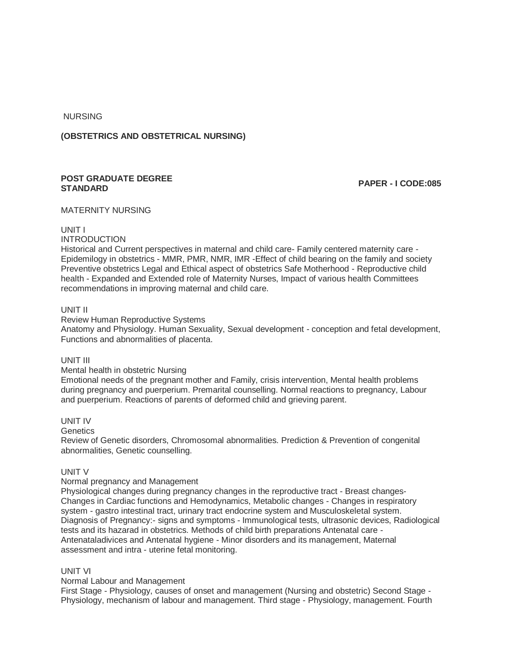NURSING

## **(OBSTETRICS AND OBSTETRICAL NURSING)**

## **POST GRADUATE DEGREE STANDARD PAPER - I CODE:085**

## MATERNITY NURSING

### UNIT I

### INTRODUCTION

Historical and Current perspectives in maternal and child care- Family centered maternity care - Epidemilogy in obstetrics - MMR, PMR, NMR, IMR -Effect of child bearing on the family and society Preventive obstetrics Legal and Ethical aspect of obstetrics Safe Motherhood - Reproductive child health - Expanded and Extended role of Maternity Nurses, Impact of various health Committees recommendations in improving maternal and child care.

### UNIT II

Review Human Reproductive Systems

Anatomy and Physiology. Human Sexuality, Sexual development - conception and fetal development, Functions and abnormalities of placenta.

#### UNIT III

#### Mental health in obstetric Nursing

Emotional needs of the pregnant mother and Family, crisis intervention, Mental health problems during pregnancy and puerperium. Premarital counselling. Normal reactions to pregnancy, Labour and puerperium. Reactions of parents of deformed child and grieving parent.

# UNIT IV

### **Genetics**

Review of Genetic disorders, Chromosomal abnormalities. Prediction & Prevention of congenital abnormalities, Genetic counselling.

### UNIT V

#### Normal pregnancy and Management

Physiological changes during pregnancy changes in the reproductive tract - Breast changes-Changes in Cardiac functions and Hemodynamics, Metabolic changes - Changes in respiratory system - gastro intestinal tract, urinary tract endocrine system and Musculoskeletal system. Diagnosis of Pregnancy:- signs and symptoms - Immunological tests, ultrasonic devices, Radiological tests and its hazarad in obstetrics. Methods of child birth preparations Antenatal care - Antenataladivices and Antenatal hygiene - Minor disorders and its management, Maternal assessment and intra - uterine fetal monitoring.

### UNIT VI

#### Normal Labour and Management

First Stage - Physiology, causes of onset and management (Nursing and obstetric) Second Stage - Physiology, mechanism of labour and management. Third stage - Physiology, management. Fourth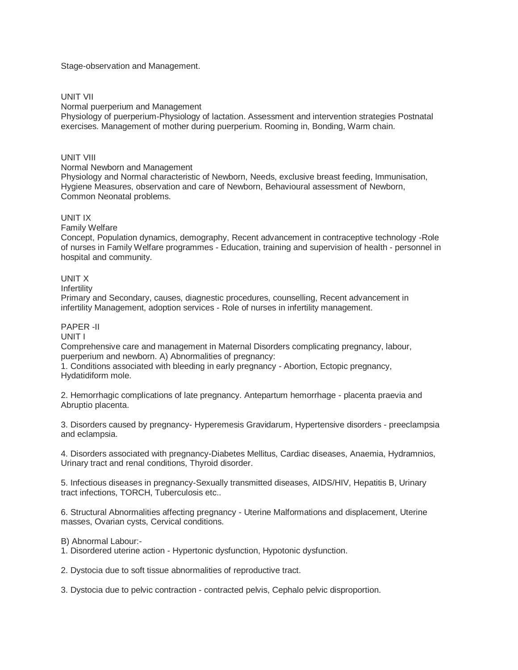Stage-observation and Management.

## UNIT VII

Normal puerperium and Management

Physiology of puerperium-Physiology of lactation. Assessment and intervention strategies Postnatal exercises. Management of mother during puerperium. Rooming in, Bonding, Warm chain.

## UNIT VIII

#### Normal Newborn and Management

Physiology and Normal characteristic of Newborn, Needs, exclusive breast feeding, Immunisation, Hygiene Measures, observation and care of Newborn, Behavioural assessment of Newborn, Common Neonatal problems.

### UNIT IX

Family Welfare

Concept, Population dynamics, demography, Recent advancement in contraceptive technology -Role of nurses in Family Welfare programmes - Education, training and supervision of health - personnel in hospital and community.

### UNIT X

Infertility

Primary and Secondary, causes, diagnestic procedures, counselling, Recent advancement in infertility Management, adoption services - Role of nurses in infertility management.

## PAPER -II

UNIT I

Comprehensive care and management in Maternal Disorders complicating pregnancy, labour, puerperium and newborn. A) Abnormalities of pregnancy:

1. Conditions associated with bleeding in early pregnancy - Abortion, Ectopic pregnancy, Hydatidiform mole.

2. Hemorrhagic complications of late pregnancy. Antepartum hemorrhage - placenta praevia and Abruptio placenta.

3. Disorders caused by pregnancy- Hyperemesis Gravidarum, Hypertensive disorders - preeclampsia and eclampsia.

4. Disorders associated with pregnancy-Diabetes Mellitus, Cardiac diseases, Anaemia, Hydramnios, Urinary tract and renal conditions, Thyroid disorder.

5. Infectious diseases in pregnancy-Sexually transmitted diseases, AIDS/HIV, Hepatitis B, Urinary tract infections, TORCH, Tuberculosis etc..

6. Structural Abnormalities affecting pregnancy - Uterine Malformations and displacement, Uterine masses, Ovarian cysts, Cervical conditions.

B) Abnormal Labour:-

1. Disordered uterine action - Hypertonic dysfunction, Hypotonic dysfunction.

2. Dystocia due to soft tissue abnormalities of reproductive tract.

3. Dystocia due to pelvic contraction - contracted pelvis, Cephalo pelvic disproportion.